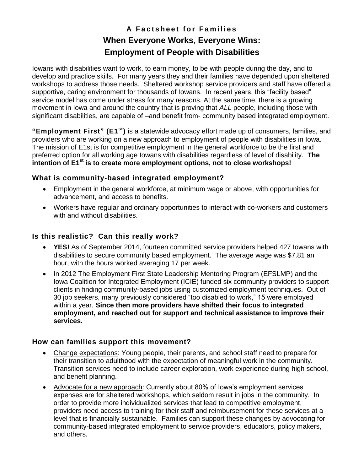# **A F a c t s h e e t f o r F a m i l i e s When Everyone Works, Everyone Wins: Employment of People with Disabilities**

Iowans with disabilities want to work, to earn money, to be with people during the day, and to develop and practice skills. For many years they and their families have depended upon sheltered workshops to address those needs. Sheltered workshop service providers and staff have offered a supportive, caring environment for thousands of Iowans. In recent years, this "facility based" service model has come under stress for many reasons. At the same time, there is a growing movement in Iowa and around the country that is proving that *ALL* people, including those with significant disabilities, are capable of –and benefit from- community based integrated employment.

**"Employment First" (E1st)** is a statewide advocacy effort made up of consumers, families, and providers who are working on a new approach to employment of people with disabilities in Iowa. The mission of E1st is for competitive employment in the general workforce to be the first and preferred option for all working age Iowans with disabilities regardless of level of disability. **The intention of E1st is to create more employment options, not to close workshops!** 

#### **What is community-based integrated employment?**

- Employment in the general workforce, at minimum wage or above, with opportunities for advancement, and access to benefits.
- Workers have regular and ordinary opportunities to interact with co-workers and customers with and without disabilities.

### **Is this realistic? Can this really work?**

- **YES!** As of September 2014, fourteen committed service providers helped 427 Iowans with disabilities to secure community based employment. The average wage was \$7.81 an hour, with the hours worked averaging 17 per week.
- In 2012 The Employment First State Leadership Mentoring Program (EFSLMP) and the Iowa Coalition for Integrated Employment (ICIE) funded six community providers to support clients in finding community-based jobs using customized employment techniques. Out of 30 job seekers, many previously considered "too disabled to work," 15 were employed within a year. **Since then more providers have shifted their focus to integrated employment, and reached out for support and technical assistance to improve their services.**

#### **How can families support this movement?**

- Change expectations: Young people, their parents, and school staff need to prepare for their transition to adulthood with the expectation of meaningful work in the community. Transition services need to include career exploration, work experience during high school, and benefit planning.
- Advocate for a new approach: Currently about 80% of Iowa's employment services expenses are for sheltered workshops, which seldom result in jobs in the community. In order to provide more individualized services that lead to competitive employment, providers need access to training for their staff and reimbursement for these services at a level that is financially sustainable. Families can support these changes by advocating for community-based integrated employment to service providers, educators, policy makers, and others.